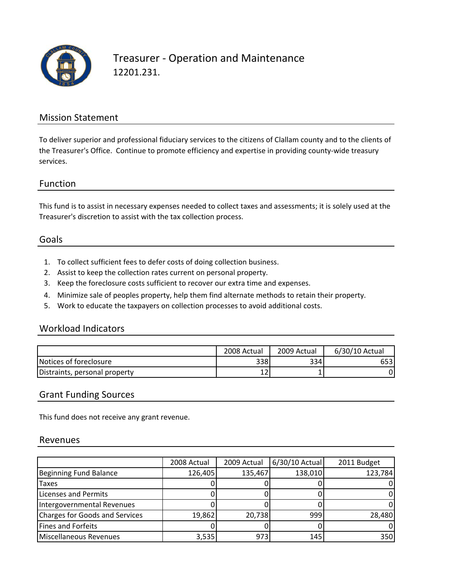

## Treasurer ‐ Operation and Maintenance 12201.231.

### Mission Statement

To deliver superior and professional fiduciary services to the citizens of Clallam county and to the clients of the Treasurer's Office. Continue to promote efficiency and expertise in providing county‐wide treasury services.

### Function

This fund is to assist in necessary expenses needed to collect taxes and assessments; it is solely used at the Treasurer's discretion to assist with the tax collection process.

### Goals

- 1. To collect sufficient fees to defer costs of doing collection business.
- 2. Assist to keep the collection rates current on personal property.
- 3. Keep the foreclosure costs sufficient to recover our extra time and expenses.
- 4. Minimize sale of peoples property, help them find alternate methods to retain their property.
- 5. Work to educate the taxpayers on collection processes to avoid additional costs.

### Workload Indicators

|                               | 2008 Actual | 2009 Actual | 6/30/10 Actual |
|-------------------------------|-------------|-------------|----------------|
| Notices of foreclosure        | 3381        | 334l        | 6531           |
| Distraints, personal property | ᅩᄼ          |             |                |

#### Grant Funding Sources

This fund does not receive any grant revenue.

#### Revenues

|                                | 2008 Actual | 2009 Actual | 6/30/10 Actual | 2011 Budget |
|--------------------------------|-------------|-------------|----------------|-------------|
| Beginning Fund Balance         | 126,405     | 135,467     | 138,010        | 123,784     |
| <b>Taxes</b>                   |             |             |                |             |
| Licenses and Permits           |             |             |                |             |
| Intergovernmental Revenues     |             |             |                |             |
| Charges for Goods and Services | 19,862      | 20,738      | 999            | 28,480      |
| Fines and Forfeits             |             |             |                |             |
| Miscellaneous Revenues         | 3,535       | 973         | 145            | 350         |